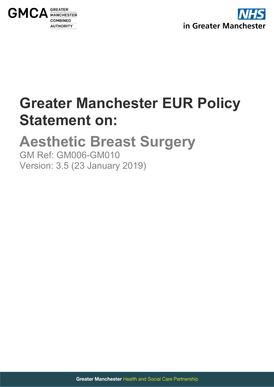



# **Greater Manchester EUR Policy Statement on:**

# <span id="page-0-0"></span>**Aesthetic Breast Surgery**

<span id="page-0-1"></span>GM Ref: GM006-GM010 Version: 3.5 (23 January 2019)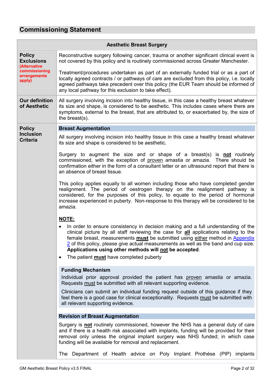# <span id="page-1-0"></span>**Commissioning Statement**

|                                                    | <b>Aesthetic Breast Surgery</b>                                                                                                                                                                                                                                                                                                                                                                                                                                                     |
|----------------------------------------------------|-------------------------------------------------------------------------------------------------------------------------------------------------------------------------------------------------------------------------------------------------------------------------------------------------------------------------------------------------------------------------------------------------------------------------------------------------------------------------------------|
| <b>Policy</b><br><b>Exclusions</b><br>(Alternative | Reconstructive surgery following cancer, trauma or another significant clinical event is<br>not covered by this policy and is routinely commissioned across Greater Manchester.                                                                                                                                                                                                                                                                                                     |
| commissioning<br>arrangements<br>apply)            | Treatment/procedures undertaken as part of an externally funded trial or as a part of<br>locally agreed contracts / or pathways of care are excluded from this policy, i.e. locally<br>agreed pathways take precedent over this policy (the EUR Team should be informed of<br>any local pathway for this exclusion to take effect).                                                                                                                                                 |
| <b>Our definition</b><br>of Aesthetic              | All surgery involving incision into healthy tissue, in this case a healthy breast whatever<br>its size and shape, is considered to be aesthetic. This includes cases where there are<br>symptoms, external to the breast, that are attributed to, or exacerbated by, the size of<br>the breast(s).                                                                                                                                                                                  |
| <b>Policy</b>                                      | <b>Breast Augmentation</b>                                                                                                                                                                                                                                                                                                                                                                                                                                                          |
| <b>Inclusion</b><br><b>Criteria</b>                | All surgery involving incision into healthy tissue in this case a healthy breast whatever<br>its size and shape is considered to be aesthetic.                                                                                                                                                                                                                                                                                                                                      |
|                                                    | Surgery to augment the size and or shape of a breast(s) is <b>not</b> routinely<br>commissioned, with the exception of proven amastia or amazia. There should be<br>confirmation either in the form of a consultant letter or an ultrasound report that there is<br>an absence of breast tissue.                                                                                                                                                                                    |
|                                                    | This policy applies equally to all women including those who have completed gender<br>realignment. The period of oestrogen therapy on the realignment pathway is<br>considered, for the purposes of this policy, to equate to the period of hormonal<br>increase experienced in puberty. Non-response to this therapy will be considered to be<br>amazia.                                                                                                                           |
|                                                    | <b>NOTE:</b><br>In order to ensure consistency in decision making and a full understanding of the<br>clinical picture by all staff reviewing the case for all applications relating to the<br>female breast, measurements must be submitted using either method in Appendix<br>2 of this policy, please give actual measurements as well as the band and cup size.<br>Applications using other methods will not be accepted.<br>The patient <b>must</b> have completed puberty<br>٠ |
|                                                    | <b>Funding Mechanism</b><br>Individual prior approval provided the patient has proven amastia or amazia.<br>Requests must be submitted with all relevant supporting evidence.<br>Clinicians can submit an individual funding request outside of this guidance if they<br>feel there is a good case for clinical exceptionality. Requests must be submitted with<br>all relevant supporting evidence.                                                                                |
|                                                    | <b>Revision of Breast Augmentation</b>                                                                                                                                                                                                                                                                                                                                                                                                                                              |
|                                                    | Surgery is not routinely commissioned, however the NHS has a general duty of care<br>and if there is a health risk associated with implants, funding will be provided for their<br>removal only unless the original implant surgery was NHS funded; in which case<br>funding will be available for removal and replacement.                                                                                                                                                         |
|                                                    | The Department of Health advice on Poly Implant Prothèse (PIP) implants                                                                                                                                                                                                                                                                                                                                                                                                             |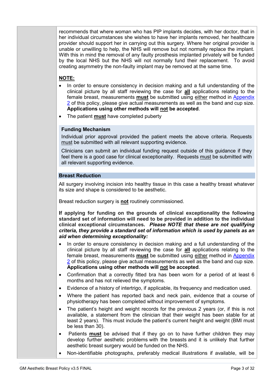recommends that where woman who has PIP implants decides, with her doctor, that in her individual circumstances she wishes to have her implants removed, her healthcare provider should support her in carrying out this surgery. Where her original provider is unable or unwilling to help, the NHS will remove but not normally replace the implant. With this in mind the removal of any faulty prosthesis implanted privately will be funded by the local NHS but the NHS will not normally fund their replacement. To avoid creating asymmetry the non-faulty implant may be removed at the same time.

## **NOTE:**

- In order to ensure consistency in decision making and a full understanding of the clinical picture by all staff reviewing the case for **all** applications relating to the female breast, measurements **must** be submitted using either method in **Appendix** [2](#page-23-0) of this policy, please give actual measurements as well as the band and cup size. **Applications using other methods will not be accepted**.
- The patient **must** have completed puberty

## **Funding Mechanism**

Individual prior approval provided the patient meets the above criteria. Requests must be submitted with all relevant supporting evidence.

Clinicians can submit an individual funding request outside of this guidance if they feel there is a good case for clinical exceptionality. Requests must be submitted with all relevant supporting evidence.

## **Breast Reduction**

All surgery involving incision into healthy tissue in this case a healthy breast whatever its size and shape is considered to be aesthetic.

Breast reduction surgery is **not** routinely commissioned.

- In order to ensure consistency in decision making and a full understanding of the clinical picture by all staff reviewing the case for **all** applications relating to the female breast, measurements **must** be submitted using either method in **Appendix** [2](#page-23-0) of this policy, please give actual measurements as well as the band and cup size. **Applications using other methods will not be accepted**.
- Confirmation that a correctly fitted bra has been worn for a period of at least 6 months and has not relieved the symptoms.
- Evidence of a history of intertrigo, if applicable, its frequency and medication used.
- Where the patient has reported back and neck pain, evidence that a course of physiotherapy has been completed without improvement of symptoms.
- The patient's height and weight records for the previous 2 years (or, if this is not available, a statement from the clinician that their weight has been stable for at least 2 years). This must include the patient's current height and weight (BMI must be less than 30).
- Patients **must** be advised that if they go on to have further children they may develop further aesthetic problems with the breasts and it is unlikely that further aesthetic breast surgery would be funded on the NHS.
- Non-identifiable photographs, preferably medical illustrations if available, will be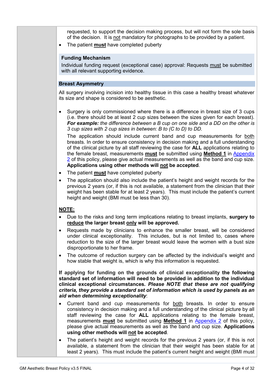requested, to support the decision making process, but will not form the sole basis of the decision. It is not mandatory for photographs to be provided by a patient.

• The patient **must** have completed puberty

#### **Funding Mechanism**

Individual funding request (exceptional case) approval: Requests must be submitted with all relevant supporting evidence.

#### **Breast Asymmetry**

All surgery involving incision into healthy tissue in this case a healthy breast whatever its size and shape is considered to be aesthetic.

• Surgery is only commissioned where there is a difference in breast size of 3 cups (i.e. there should be at least 2 cup sizes between the sizes given for each breast). *For example: the difference between a B cup on one side and a DD on the other is 3 cup sizes with 2 cup sizes in between: B to (C to D) to DD.*

The application should include current band and cup measurements for both breasts. In order to ensure consistency in decision making and a full understanding of the clinical picture by all staff reviewing the case for **ALL** applications relating to the female breast, measurements **must** be submitted using **Method 1** in [Appendix](#page-23-0)  [2](#page-23-0) of this policy, please give actual measurements as well as the band and cup size. **Applications using other methods will not be accepted**.

- The patient **must** have completed puberty
- The application should also include the patient's height and weight records for the previous 2 years (or, if this is not available, a statement from the clinician that their weight has been stable for at least 2 years). This must include the patient's current height and weight (BMI must be less than 30).

## **NOTE:**

- Due to the risks and long term implications relating to breast implants, **surgery to reduce the larger breast only will be approved.**
- Requests made by clinicians to enhance the smaller breast, will be considered under clinical exceptionality. This includes, but is not limited to, cases where reduction to the size of the larger breast would leave the women with a bust size disproportionate to her frame.
- The outcome of reduction surgery can be affected by the individual's weight and how stable that weight is, which is why this information is requested.

- Current band and cup measurements for both breasts. In order to ensure consistency in decision making and a full understanding of the clinical picture by all staff reviewing the case for **ALL** applications relating to the female breast, measurements **must** be submitted using **Method 1** in [Appendix 2](#page-23-0) of this policy, please give actual measurements as well as the band and cup size. **Applications using other methods will not be accepted**.
- The patient's height and weight records for the previous 2 years (or, if this is not available, a statement from the clinician that their weight has been stable for at least 2 years). This must include the patient's current height and weight (BMI must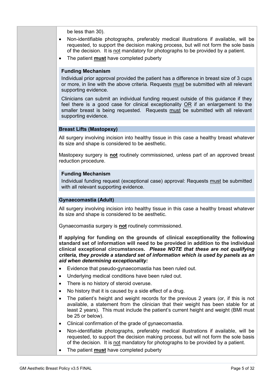be less than 30).

- Non-identifiable photographs, preferably medical illustrations if available, will be requested, to support the decision making process, but will not form the sole basis of the decision. It is not mandatory for photographs to be provided by a patient.
- The patient **must** have completed puberty

## **Funding Mechanism**

Individual prior approval provided the patient has a difference in breast size of 3 cups or more, in line with the above criteria. Requests must be submitted with all relevant supporting evidence.

Clinicians can submit an individual funding request outside of this guidance if they feel there is a good case for clinical exceptionality OR if an enlargement to the smaller breast is being requested. Requests must be submitted with all relevant supporting evidence.

## **Breast Lifts (Mastopexy)**

All surgery involving incision into healthy tissue in this case a healthy breast whatever its size and shape is considered to be aesthetic.

Mastopexy surgery is **not** routinely commissioned, unless part of an approved breast reduction procedure.

#### **Funding Mechanism**

Individual funding request (exceptional case) approval: Requests must be submitted with all relevant supporting evidence.

## **Gynaecomastia (Adult)**

All surgery involving incision into healthy tissue in this case a healthy breast whatever its size and shape is considered to be aesthetic.

Gynaecomastia surgery is **not** routinely commissioned.

- Evidence that pseudo-gynaecomastia has been ruled out.
- Underlying medical conditions have been ruled out.
- There is no history of steroid overuse.
- No history that it is caused by a side effect of a drug.
- The patient's height and weight records for the previous 2 years (or, if this is not available, a statement from the clinician that their weight has been stable for at least 2 years). This must include the patient's current height and weight (BMI must be 25 or below).
- Clinical confirmation of the grade of gynaecomastia.
- Non-identifiable photographs, preferably medical illustrations if available, will be requested, to support the decision making process, but will not form the sole basis of the decision. It is not mandatory for photographs to be provided by a patient.
- The patient **must** have completed puberty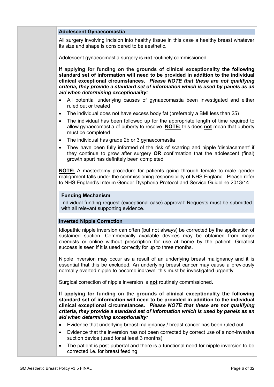#### **Adolescent Gynaecomastia**

All surgery involving incision into healthy tissue in this case a healthy breast whatever its size and shape is considered to be aesthetic.

Adolescent gynaecomastia surgery is **not** routinely commissioned.

**If applying for funding on the grounds of clinical exceptionality the following standard set of information will need to be provided in addition to the individual clinical exceptional circumstances.** *Please NOTE that these are not qualifying criteria, they provide a standard set of information which is used by panels as an aid when determining exceptionality:*

- All potential underlying causes of gynaecomastia been investigated and either ruled out or treated
- The individual does not have excess body fat (preferably a BMI less than 25)
- The individual has been followed up for the appropriate length of time required to allow gynaecomastia of puberty to resolve. **NOTE:** this does **not** mean that puberty must be completed.
- The individual has grade 2b or 3 gynaecomastia
- They have been fully informed of the risk of scarring and nipple 'displacement' if they continue to grow after surgery **OR** confirmation that the adolescent (final) growth spurt has definitely been completed

**NOTE:** A mastectomy procedure for patients going through female to male gender realignment falls under the commissioning responsibility of NHS England. Please refer to NHS England's Interim Gender Dysphoria Protocol and Service Guideline 2013/14.

#### **Funding Mechanism**

Individual funding request (exceptional case) approval: Requests must be submitted with all relevant supporting evidence.

#### **Inverted Nipple Correction**

Idiopathic nipple inversion can often (but not always) be corrected by the application of sustained suction. Commercially available devices may be obtained from major chemists or online without prescription for use at home by the patient. Greatest success is seen if it is used correctly for up to three months.

Nipple inversion may occur as a result of an underlying breast malignancy and it is essential that this be excluded. An underlying breast cancer may cause a previously normally everted nipple to become indrawn: this must be investigated urgently.

Surgical correction of nipple inversion is **not** routinely commissioned.

- Evidence that underlying breast malignancy / breast cancer has been ruled out
- Evidence that the inversion has not been corrected by correct use of a non-invasive suction device (used for at least 3 months)
- The patient is post-pubertal and there is a functional need for nipple inversion to be corrected i.e. for breast feeding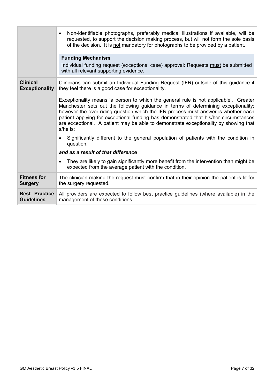|                                           | Non-identifiable photographs, preferably medical illustrations if available, will be<br>requested, to support the decision making process, but will not form the sole basis<br>of the decision. It is not mandatory for photographs to be provided by a patient.<br><b>Funding Mechanism</b><br>Individual funding request (exceptional case) approval: Requests must be submitted<br>with all relevant supporting evidence.                                 |
|-------------------------------------------|--------------------------------------------------------------------------------------------------------------------------------------------------------------------------------------------------------------------------------------------------------------------------------------------------------------------------------------------------------------------------------------------------------------------------------------------------------------|
| <b>Clinical</b><br><b>Exceptionality</b>  | Clinicians can submit an Individual Funding Request (IFR) outside of this guidance if<br>they feel there is a good case for exceptionality.                                                                                                                                                                                                                                                                                                                  |
|                                           | Exceptionality means 'a person to which the general rule is not applicable'. Greater<br>Manchester sets out the following guidance in terms of determining exceptionality;<br>however the over-riding question which the IFR process must answer is whether each<br>patient applying for exceptional funding has demonstrated that his/her circumstances<br>are exceptional. A patient may be able to demonstrate exceptionality by showing that<br>s/he is: |
|                                           | Significantly different to the general population of patients with the condition in<br>$\bullet$<br>question.                                                                                                                                                                                                                                                                                                                                                |
|                                           | and as a result of that difference                                                                                                                                                                                                                                                                                                                                                                                                                           |
|                                           | They are likely to gain significantly more benefit from the intervention than might be<br>$\bullet$<br>expected from the average patient with the condition.                                                                                                                                                                                                                                                                                                 |
| <b>Fitness for</b><br><b>Surgery</b>      | The clinician making the request must confirm that in their opinion the patient is fit for<br>the surgery requested.                                                                                                                                                                                                                                                                                                                                         |
| <b>Best Practice</b><br><b>Guidelines</b> | All providers are expected to follow best practice guidelines (where available) in the<br>management of these conditions.                                                                                                                                                                                                                                                                                                                                    |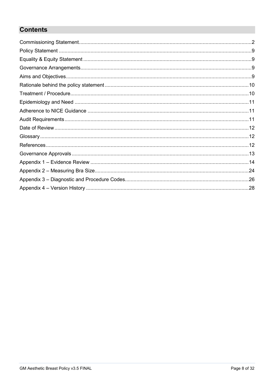# **Contents**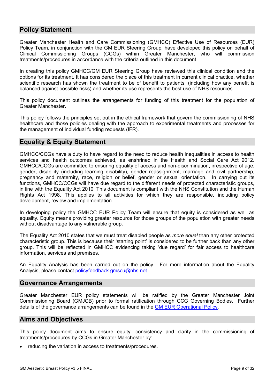## <span id="page-8-0"></span>**Policy Statement**

Greater Manchester Health and Care Commissioning (GMHCC) Effective Use of Resources (EUR) Policy Team, in conjunction with the GM EUR Steering Group, have developed this policy on behalf of Clinical Commissioning Groups (CCGs) within Greater Manchester, who will commission treatments/procedures in accordance with the criteria outlined in this document.

In creating this policy GMHCC/GM EUR Steering Group have reviewed this clinical condition and the options for its treatment. It has considered the place of this treatment in current clinical practice, whether scientific research has shown the treatment to be of benefit to patients, (including how any benefit is balanced against possible risks) and whether its use represents the best use of NHS resources.

This policy document outlines the arrangements for funding of this treatment for the population of Greater Manchester.

This policy follows the principles set out in the ethical framework that govern the commissioning of NHS healthcare and those policies dealing with the approach to experimental treatments and processes for the management of individual funding requests (IFR).

## <span id="page-8-1"></span>**Equality & Equity Statement**

GMHCC/CCGs have a duty to have regard to the need to reduce health inequalities in access to health services and health outcomes achieved, as enshrined in the Health and Social Care Act 2012. GMHCC/CCGs are committed to ensuring equality of access and non-discrimination, irrespective of age, gender, disability (including learning disability), gender reassignment, marriage and civil partnership, pregnancy and maternity, race, religion or belief, gender or sexual orientation. In carrying out its functions, GMHCC/CCGs will have due regard to the different needs of protected characteristic groups, in line with the Equality Act 2010. This document is compliant with the NHS Constitution and the Human Rights Act 1998. This applies to all activities for which they are responsible, including policy development, review and implementation.

In developing policy the GMHCC EUR Policy Team will ensure that equity is considered as well as equality. Equity means providing greater resource for those groups of the population with greater needs without disadvantage to any vulnerable group.

The Equality Act 2010 states that we must treat disabled people as *more equal* than any other protected characteristic group. This is because their 'starting point' is considered to be further back than any other group. This will be reflected in GMHCC evidencing taking 'due regard' for fair access to healthcare information, services and premises.

An Equality Analysis has been carried out on the policy. For more information about the Equality Analysis, please contact [policyfeedback.gmscu@nhs.net.](mailto:policyfeedback.gmscu@nhs.net)

## <span id="page-8-2"></span>**Governance Arrangements**

Greater Manchester EUR policy statements will be ratified by the Greater Manchester Joint Commissioning Board (GMJCB) prior to formal ratification through CCG Governing Bodies. Further details of the governance arrangements can be found in the [GM EUR Operational Policy.](https://gmeurnhs.co.uk/Docs/Other%20Policies/GM%20EUR%20Operational%20Policy.pdf)

## <span id="page-8-3"></span>**Aims and Objectives**

This policy document aims to ensure equity, consistency and clarity in the commissioning of treatments/procedures by CCGs in Greater Manchester by:

reducing the variation in access to treatments/procedures.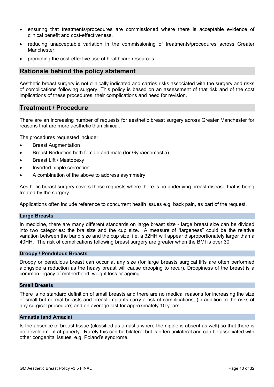- ensuring that treatments/procedures are commissioned where there is acceptable evidence of clinical benefit and cost-effectiveness.
- reducing unacceptable variation in the commissioning of treatments/procedures across Greater Manchester.
- promoting the cost-effective use of healthcare resources.

## <span id="page-9-0"></span>**Rationale behind the policy statement**

Aesthetic breast surgery is not clinically indicated and carries risks associated with the surgery and risks of complications following surgery. This policy is based on an assessment of that risk and of the cost implications of these procedures, their complications and need for revision.

## <span id="page-9-1"></span>**Treatment / Procedure**

There are an increasing number of requests for aesthetic breast surgery across Greater Manchester for reasons that are more aesthetic than clinical.

The procedures requested include:

- Breast Augmentation
- Breast Reduction both female and male (for Gynaecomastia)
- Breast Lift / Mastopexy
- Inverted nipple correction
- A combination of the above to address asymmetry

Aesthetic breast surgery covers those requests where there is no underlying breast disease that is being treated by the surgery.

Applications often include reference to concurrent health issues e.g. back pain, as part of the request.

#### **Large Breasts**

In medicine, there are many different standards on large breast size - large breast size can be divided into two categories: the bra size and the cup size. A measure of "largeness" could be the relative variation between the band size and the cup size, i.e. a 32HH will appear disproportionately larger than a 40HH. The risk of complications following breast surgery are greater when the BMI is over 30.

#### **Droopy / Pendulous Breasts**

Droopy or pendulous breast can occur at any size (for large breasts surgical lifts are often performed alongside a reduction as the heavy breast will cause drooping to recur). Droopiness of the breast is a common legacy of motherhood, weight loss or ageing.

#### **Small Breasts**

There is no standard definition of small breasts and there are no medical reasons for increasing the size of small but normal breasts and breast implants carry a risk of complications, (in addition to the risks of any surgical procedure) and on average last for approximately 10 years.

#### **Amastia (and Amazia)**

Is the absence of breast tissue (classified as amastia where the nipple is absent as well) so that there is no development at puberty. Rarely this can be bilateral but is often unilateral and can be associated with other congenital issues, e.g. Poland's syndrome.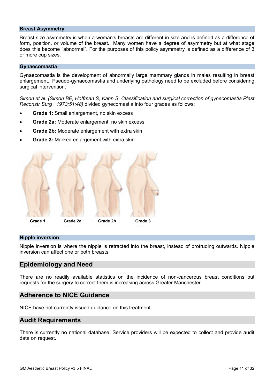#### **Breast Asymmetry**

Breast size asymmetry is when a woman's breasts are different in size and is defined as a difference of form, position, or volume of the breast. Many women have a degree of asymmetry but at what stage does this become "abnormal". For the purposes of this policy asymmetry is defined as a difference of 3 or more cup sizes.

#### **Gynaecomastia**

Gynaecomastia is the development of abnormally large mammary glands in males resulting in breast enlargement. Pseudo-gynaecomastia and underlying pathology need to be excluded before considering surgical intervention.

*Simon et al. (Simon BE, Hoffman S, Kahn S. Classification and surgical correction of gynecomastia Plast Reconstr Surg . 1973;51:48)* divided gynecomastia into four grades as follows:

- **Grade 1:** Small enlargement, no skin excess
- **Grade 2a:** Moderate enlargement, no skin excess
- **Grade 2b: Moderate enlargement with extra skin**
- **Grade 3:** Marked enlargement with extra skin



#### **Nipple inversion**

Nipple inversion is where the nipple is retracted into the breast, instead of protruding outwards. Nipple inversion can affect one or both breasts.

## <span id="page-10-0"></span>**Epidemiology and Need**

There are no readily available statistics on the incidence of non-cancerous breast conditions but requests for the surgery to correct them is increasing across Greater Manchester.

## <span id="page-10-1"></span>**Adherence to NICE Guidance**

NICE have not currently issued guidance on this treatment.

## <span id="page-10-2"></span>**Audit Requirements**

There is currently no national database. Service providers will be expected to collect and provide audit data on request.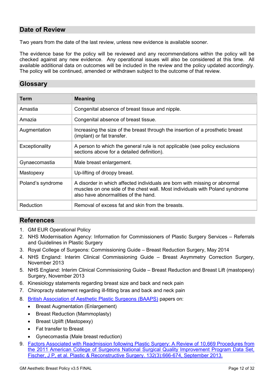## <span id="page-11-0"></span>**Date of Review**

Two years from the date of the last review, unless new evidence is available sooner.

The evidence base for the policy will be reviewed and any recommendations within the policy will be checked against any new evidence. Any operational issues will also be considered at this time. All available additional data on outcomes will be included in the review and the policy updated accordingly. The policy will be continued, amended or withdrawn subject to the outcome of that review.

## <span id="page-11-1"></span>**Glossary**

| Term              | <b>Meaning</b>                                                                                                                                                                                     |
|-------------------|----------------------------------------------------------------------------------------------------------------------------------------------------------------------------------------------------|
| Amastia           | Congenital absence of breast tissue and nipple.                                                                                                                                                    |
| Amazia            | Congenital absence of breast tissue.                                                                                                                                                               |
| Augmentation      | Increasing the size of the breast through the insertion of a prosthetic breast<br>(implant) or fat transfer.                                                                                       |
| Exceptionality    | A person to which the general rule is not applicable (see policy exclusions<br>sections above for a detailed definition).                                                                          |
| Gynaecomastia     | Male breast enlargement.                                                                                                                                                                           |
| Mastopexy         | Up-lifting of droopy breast.                                                                                                                                                                       |
| Poland's syndrome | A disorder in which affected individuals are born with missing or abnormal<br>muscles on one side of the chest wall. Most individuals with Poland syndrome<br>also have abnormalities of the hand. |
| Reduction         | Removal of excess fat and skin from the breasts.                                                                                                                                                   |

## <span id="page-11-2"></span>**References**

- 1. GM EUR Operational Policy
- 2. NHS Modernisation Agency: Information for Commissioners of Plastic Surgery Services Referrals and Guidelines in Plastic Surgery
- 3. Royal College of Surgeons: Commissioning Guide Breast Reduction Surgery, May 2014
- 4. NHS England: Interim Clinical Commissioning Guide Breast Asymmetry Correction Surgery, November 2013
- 5. NHS England: Interim Clinical Commissioning Guide Breast Reduction and Breast Lift (mastopexy) Surgery, November 2013
- 6. Kinesiology statements regarding breast size and back and neck pain
- 7. Chiropracty statement regarding ill-fitting bras and back and neck pain
- 8. [British Association of Aesthetic Plastic Surgeons \(BAAPS\)](http://www.baaps.org.uk/procedures) papers on:
	- Breast Augmentation (Enlargement)
	- Breast Reduction (Mammoplasty)
	- Breast Uplift (Mastopexy)
	- Fat transfer to Breast
	- Gynecomastia (Male breast reduction)
- 9. Factors [Associated with Readmission following Plastic Surgery: A Review of 10,669 Procedures from](http://journals.lww.com/plasreconsurg/Abstract/2013/09000/Factors_Associated_with_Readmission_following.29.aspx)  [the 2011 American College of Surgeons National Surgical Quality Improvement Program Data Set,](http://journals.lww.com/plasreconsurg/Abstract/2013/09000/Factors_Associated_with_Readmission_following.29.aspx)  [Fischer, J P, et al. Plastic & Reconstructive Surgery. 132\(3\):666-674, September 2013.](http://journals.lww.com/plasreconsurg/Abstract/2013/09000/Factors_Associated_with_Readmission_following.29.aspx)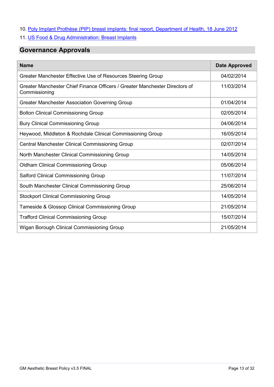- 10. [Poly Implant Prothèse \(PIP\) breast implants: final report, Department of Health, 18 June 2012](https://www.gov.uk/government/publications/poly-implant-prothese-pip-breast-implants-final-report-of-the-expert-group)
- 11. US Food & Drug Administration: Breast Implants

# <span id="page-12-0"></span>**Governance Approvals**

| <b>Name</b>                                                                                  | <b>Date Approved</b> |
|----------------------------------------------------------------------------------------------|----------------------|
| Greater Manchester Effective Use of Resources Steering Group                                 | 04/02/2014           |
| Greater Manchester Chief Finance Officers / Greater Manchester Directors of<br>Commissioning | 11/03/2014           |
| <b>Greater Manchester Association Governing Group</b>                                        | 01/04/2014           |
| <b>Bolton Clinical Commissioning Group</b>                                                   | 02/05/2014           |
| <b>Bury Clinical Commissioning Group</b>                                                     | 04/06/2014           |
| Heywood, Middleton & Rochdale Clinical Commissioning Group                                   | 16/05/2014           |
| <b>Central Manchester Clinical Commissioning Group</b>                                       | 02/07/2014           |
| North Manchester Clinical Commissioning Group                                                | 14/05/2014           |
| <b>Oldham Clinical Commissioning Group</b>                                                   | 05/06/2014           |
| Salford Clinical Commissioning Group                                                         | 11/07/2014           |
| South Manchester Clinical Commissioning Group                                                | 25/06/2014           |
| <b>Stockport Clinical Commissioning Group</b>                                                | 14/05/2014           |
| Tameside & Glossop Clinical Commissioning Group                                              | 21/05/2014           |
| <b>Trafford Clinical Commissioning Group</b>                                                 | 15/07/2014           |
| Wigan Borough Clinical Commissioning Group                                                   | 21/05/2014           |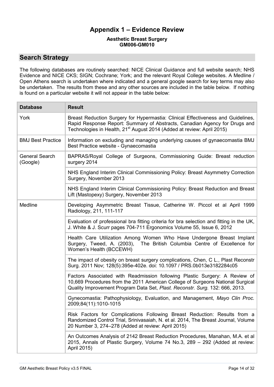## **Appendix 1 – Evidence Review**

#### **[Aesthetic Breast Surgery](#page-0-0) [GM006-GM010](#page-0-1)**

## <span id="page-13-0"></span>**Search Strategy**

The following databases are routinely searched: NICE Clinical Guidance and full website search; NHS Evidence and NICE CKS; SIGN; Cochrane; York; and the relevant Royal College websites. A Medline / Open Athens search is undertaken where indicated and a general google search for key terms may also be undertaken. The results from these and any other sources are included in the table below. If nothing is found on a particular website it will not appear in the table below:

| <b>Database</b>                   | <b>Result</b>                                                                                                                                                                                                                                        |
|-----------------------------------|------------------------------------------------------------------------------------------------------------------------------------------------------------------------------------------------------------------------------------------------------|
| York                              | Breast Reduction Surgery for Hypermastia: Clinical Effectiveness and Guidelines,<br>Rapid Response Report: Summary of Abstracts, Canadian Agency for Drugs and<br>Technologies in Health, 21 <sup>st</sup> August 2014 (Added at review: April 2015) |
| <b>BMJ Best Practice</b>          | Information on excluding and managing underlying causes of gynaecomastia BMJ<br>Best Practice website - Gynaecomastia                                                                                                                                |
| <b>General Search</b><br>(Google) | BAPRAS/Royal College of Surgeons, Commissioning Guide: Breast reduction<br>surgery 2014                                                                                                                                                              |
|                                   | NHS England Interim Clinical Commissioning Policy: Breast Asymmetry Correction<br>Surgery, November 2013                                                                                                                                             |
|                                   | NHS England Interim Clinical Commissioning Policy: Breast Reduction and Breast<br>Lift (Mastopexy) Surgery, November 2013                                                                                                                            |
| Medline                           | Developing Asymmetric Breast Tissue, Catherine W. Piccol et al April 1999<br>Radiology, 211, 111-117                                                                                                                                                 |
|                                   | Evaluation of professional bra fitting criteria for bra selection and fitting in the UK,<br>J. White & J. Scurr pages 704-711 Ergonomics Volume 55, Issue 6, 2012                                                                                    |
|                                   | Health Care Utilization Among Women Who Have Undergone Breast Implant<br>Surgery, Tweed, A. (2003), The British Columbia Centre of Excellence for<br>Women's Health (BCCEWH)                                                                         |
|                                   | The impact of obesity on breast surgery complications, Chen, C L., Plast Reconstr<br>Surg. 2011 Nov; 128(5):395e-402e. doi: 10.1097 / PRS.0b013e3182284c05                                                                                           |
|                                   | Factors Associated with Readmission following Plastic Surgery: A Review of<br>10,669 Procedures from the 2011 American College of Surgeons National Surgical<br>Quality Improvement Program Data Set, Plast. Reconstr. Surg. 132: 666, 2013.         |
|                                   | Gynecomastia: Pathophysiology, Evaluation, and Management, Mayo Clin Proc.<br>2009;84(11):1010-1015                                                                                                                                                  |
|                                   | Risk Factors for Complications Following Breast Reduction: Results from a<br>Randomized Control Trial, Srinivasaiah, N. et al. 2014, The Breast Journal, Volume<br>20 Number 3, 274–278 (Added at review: April 2015)                                |
|                                   | An Outcomes Analysis of 2142 Breast Reduction Procedures, Manahan, M.A. et al<br>2015, Annals of Plastic Surgery, Volume 74 No.3, 289 - 292 (Added at review:<br>April 2015)                                                                         |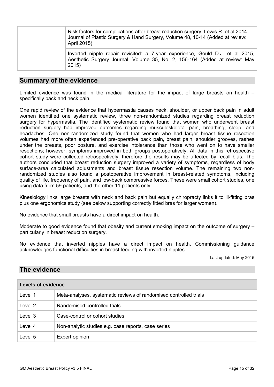|  | Risk factors for complications after breast reduction surgery, Lewis R. et al 2014,<br>Journal of Plastic Surgery & Hand Surgery, Volume 48, 10-14 (Added at review:<br>April 2015) |  |  |  |  |  |
|--|-------------------------------------------------------------------------------------------------------------------------------------------------------------------------------------|--|--|--|--|--|
|  | Inverted nipple repair revisited: a 7-year experience, Gould D.J. et al 2015,<br>Aesthetic Surgery Journal, Volume 35, No. 2, 156-164 (Added at review: May<br>2015)                |  |  |  |  |  |

## **Summary of the evidence**

Limited evidence was found in the medical literature for the impact of large breasts on health – specifically back and neck pain.

One rapid review of the evidence that hypermastia causes neck, shoulder, or upper back pain in adult women identified one systematic review, three non-randomized studies regarding breast reduction surgery for hypermastia. The identified systematic review found that women who underwent breast reduction surgery had improved outcomes regarding musculoskeletal pain, breathing, sleep, and headaches. One non-randomized study found that women who had larger breast tissue resection volumes had more often experienced pre-operative back pain, breast pain, shoulder grooves, rashes under the breasts, poor posture, and exercise intolerance than those who went on to have smaller resections; however, symptoms improved in both groups postoperatively. All data in this retrospective cohort study were collected retrospectively, therefore the results may be affected by recall bias. The authors concluded that breast reduction surgery improved a variety of symptoms, regardless of body surface-area calculated adjustments and breast tissue resection volume. The remaining two nonrandomized studies also found a postoperative improvement in breast-related symptoms, including quality of life, frequency of pain, and low-back compressive forces. These were small cohort studies, one using data from 59 patients, and the other 11 patients only.

Kinesiology links large breasts with neck and back pain but equally chiropracty links it to ill-fitting bras plus one ergonomics study (see below supporting correctly fitted bras for larger women).

No evidence that small breasts have a direct impact on health.

Moderate to good evidence found that obesity and current smoking impact on the outcome of surgery – particularly in breast reduction surgery.

No evidence that inverted nipples have a direct impact on health. Commissioning guidance acknowledges functional difficulties in breast feeding with inverted nipples.

Last updated: May 2015

## **The evidence**

| <b>Levels of evidence</b> |                                                                   |  |  |  |
|---------------------------|-------------------------------------------------------------------|--|--|--|
| Level 1                   | Meta-analyses, systematic reviews of randomised controlled trials |  |  |  |
| Level 2                   | Randomised controlled trials                                      |  |  |  |
| Level 3                   | Case-control or cohort studies                                    |  |  |  |
| Level 4                   | Non-analytic studies e.g. case reports, case series               |  |  |  |
| Level 5                   | Expert opinion                                                    |  |  |  |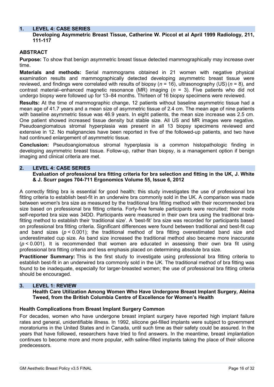## **1. LEVEL 4: CASE SERIES**

## **Developing Asymmetric Breast Tissue, Catherine W. Piccol et al April 1999 Radiology, 211, 111-117**

## **ABSTRACT**

**Purpose:** To show that benign asymmetric breast tissue detected mammographically may increase over time.

**Materials and methods:** Serial mammograms obtained in 21 women with negative physical examination results and mammographically detected developing asymmetric breast tissue were reviewed, and findings were correlated with results of biopsy (*n* = 16), ultrasonography (US) (*n* = 8), and contrast material–enhanced magnetic resonance (MR) imaging (*n* = 3). Five patients who did not undergo biopsy were followed up for 13–84 months. Thirteen of 16 biopsy specimens were reviewed.

**Results:** At the time of mammographic change, 12 patients without baseline asymmetric tissue had a mean age of 41.7 years and a mean size of asymmetric tissue of 2.4 cm. The mean age of nine patients with baseline asymmetric tissue was 46.9 years. In eight patients, the mean size increase was 2.5 cm. One patient showed increased tissue density but stable size. All US and MR images were negative. Pseudoangiomatous stromal hyperplasia was present in all 13 biopsy specimens reviewed and extensive in 12. No malignancies have been reported in five of the followed-up patients, and two have had continued enlargement of asymmetric tissue.

**Conclusion:** Pseudoangiomatous stromal hyperplasia is a common histopathologic finding in developing asymmetric breast tissue. Follow-up, rather than biopsy, is a management option if benign imaging and clinical criteria are met.

#### **2. LEVEL 4: CASE SERIES**

**Evaluation of professional bra fitting criteria for bra selection and fitting in the UK, [J. White](http://www.tandfonline.com/action/doSearch?action=runSearch&type=advanced&searchType=journal&result=true&prevSearch=%2Bauthorsfield%3A(White%2C+J.)) & [J. Scurr](http://www.tandfonline.com/action/doSearch?action=runSearch&type=advanced&searchType=journal&result=true&prevSearch=%2Bauthorsfield%3A(Scurr%2C+J.)) pages 704-711 Ergonomics Volume 55, Issue 6, 2012**

A correctly fitting bra is essential for good health; this study investigates the use of professional bra fitting criteria to establish best-fit in an underwire bra commonly sold in the UK. A comparison was made between women's bra size as measured by the traditional bra fitting method with their recommended bra size based on professional bra fitting criteria. Forty-five female participants were recruited; their mode self-reported bra size was 34DD. Participants were measured in their own bra using the traditional brafitting method to establish their 'traditional size'. A 'best-fit' bra size was recorded for participants based on professional bra fitting criteria. Significant differences were found between traditional and best-fit cup and band sizes ( $p < 0.001$ ); the traditional method of bra fitting overestimated band size and underestimated cup size. As band size increased the traditional method also became more inaccurate (*p* < 0.001). It is recommended that women are educated in assessing their own bra fit using professional bra fitting criteria and less emphasis placed on determining absolute bra size.

**Practitioner Summary:** This is the first study to investigate using professional bra fitting criteria to establish best-fit in an underwired bra commonly sold in the UK. The traditional method of bra fitting was found to be inadequate, especially for larger-breasted women; the use of professional bra fitting criteria should be encouraged.

## **3. LEVEL 1: REVIEW**

**Health Care Utilization Among Women Who Have Undergone Breast Implant Surgery, Aleina Tweed, from the British Columbia Centre of Excellence for Women's Health** 

#### **Health Complications from Breast Implant Surgery Common**

For decades, women who have undergone breast implant surgery have reported high implant failure rates and general, unidentifiable illness. In 1992, silicone gel-filled implants were subject to government moratoriums in the United States and in Canada, until such time as their safety could be assured. In the years that have followed, researchers have tried to find answers. In the meantime, breast implantation continues to become more and more popular, with saline-filled implants taking the place of their silicone predecessors.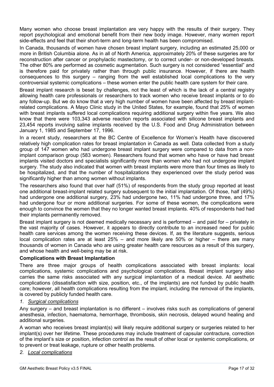Many women who choose breast implantation are very happy with the results of their surgery. They report psychological and emotional benefit from their new body image. However, many women report side-effects and feel that their short-term and long-term health has been compromised.

In Canada, thousands of women have chosen breast implant surgery, including an estimated 25,000 or more in British Columbia alone. As in all of North America, approximately 20% of these surgeries are for reconstruction after cancer or prophylactic mastectomy, or to correct under- or non-developed breasts. The other 80% are performed as cosmetic augmentation. Such surgery is not considered "essential" and is therefore paid for privately rather than through public insurance. However, if there are health consequences to this surgery – ranging from the well established local complications to the very controversial systemic complications – these women enter the public health care system for their care.

Breast implant research is beset by challenges, not the least of which is the lack of a central registry allowing health care professionals or researchers to track women who receive breast implants or to do any follow-up. But we do know that a very high number of women have been affected by breast implantrelated complications. A Mayo Clinic study in the United States, for example, found that 25% of women with breast implants suffered local complications requiring additional surgery within five years. We also know that there were 103,343 adverse reaction reports associated with silicone breast implants and 23,454 reports involving saline implants received by the U.S. Food and Drug Administration between January 1, 1985 and September 17, 1996.

In a recent study, researchers at the BC Centre of Excellence for Women's Health have discovered relatively high complication rates for breast implantation in Canada as well. Data collected from a study group of 147 women who had undergone breast implant surgery were compared to data from a nonimplant comparison group (583 women). Researchers found that women who have or have had breast implants visited doctors and specialists significantly more than women who had not undergone implant surgery. The study also indicated that women with breast implants were more than four times as likely to be hospitalized, and that the number of hospitalizations they experienced over the study period was significantly higher than among women without implants.

The researchers also found that over half (51%) of respondents from the study group reported at least one additional breast-implant related surgery subsequent to the initial implantation. Of those, half (49%) had undergone one additional surgery, 23% had undergone two, 11% had undergone three, and 17% had undergone four or more additional surgeries. For some of these women, the complications were enough to convince the women that they no longer wanted breast implants. 40% of respondents had had their implants permanently removed.

Breast implant surgery is not deemed medically necessary and is performed – and paid for – privately in the vast majority of cases. However, it appears to directly contribute to an increased need for public health care services among the women receiving these devices. If, as the literature suggests, serious local complication rates are at least 25% – and more likely are 50% or higher – there are many thousands of women in Canada who are using greater health care resources as a result of this surgery, and whose health and well-being may be at risk.

## **Complications with Breast Implantation**

There are three major groups of health complications associated with breast implants: local complications, systemic complications and psychological complications. Breast implant surgery also carries the same risks associated with any surgical implantation of a medical device. All aesthetic complications (dissatisfaction with size, position, etc., of the implants) are not funded by public health care; however, all health complications resulting from the implant, including the removal of the implants, is covered by publicly funded health care.

## *1. <sup>U</sup>Surgical complications*

Any surgery – and breast implantation is no different – involves risks such as complications of general anesthesia, infection, haematoma, hemorrhage, thrombosis, skin necrosis, delayed wound healing and additional surgeries.

A woman who receives breast implant(s) will likely require additional surgery or surgeries related to her implant(s) over her lifetime. These procedures may include treatment of capsular contracture, correction of the implant's size or position, infection control as the result of other local or systemic complications, or to prevent or treat leakage, rupture or other health problems.

## *2. <sup>U</sup>Local complications*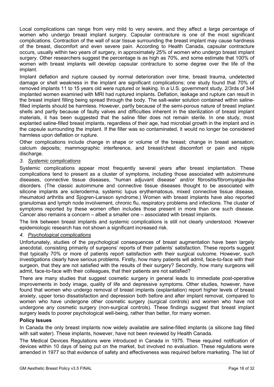Local complications can range from very mild to very severe, and they affect a large percentage of women who undergo breast implant surgery. Capsular contracture is one of the most significant complications. Contraction of the wall of scar tissue surrounding the breast implant may cause hardness of the breast, discomfort and even severe pain. According to Health Canada, capsular contracture occurs, usually within two years of surgery, in approximately 25% of women who undergo breast implant surgery. Other researchers suggest the percentage is as high as 70%, and some estimate that 100% of women with breast implants will develop capsular contracture to some degree over the life of the implant.

Implant deflation and rupture caused by normal deterioration over time, breast trauma, undetected damage or shell weakness in the implant are significant complications; one study found that 70% of removed implants 11 to 15 years old were ruptured or leaking. In a U.S. government study, 2/3rds of 344 implanted women examined with MRI had ruptured implants. Deflation, leakage and rupture can result in the breast implant filling being spread through the body. The salt-water solution contained within salinefilled implants should be harmless. However, partly because of the semi-porous nature of breast implant shells and partly because of faulty valves and difficulties inherent in the sterilization of breast implant materials, it has been suggested that the saline filler does not remain sterile. In one study, most explanted saline-filled breast implants, regardless of their age, had microbial growth in the implant and in the capsule surrounding the implant. If the filler was so contaminated, it would no longer be considered harmless upon deflation or rupture.

Other complications include change in shape or volume of the breast; change in breast sensation; calcium deposits; mammographic interference, and breast/chest discomfort or pain and nipple discharge.

## *3. <sup>U</sup>Systemic complications*

Systemic complications appear most frequently several years after breast implantation. These complications tend to present as a cluster of symptoms, including those associated with autoimmune diseases, connective tissue diseases, "human adjuvant disease" and/or fibrositis/fibromyalgia-like disorders. (The classic autoimmune and connective tissue diseases thought to be associated with silicone implants are scleroderma, systemic lupus erythematosus, mixed connective tissue disease, rheumatoid arthritis and Sjogren-Larsson syndrome.) Women with breast implants have also reported granulomas and lymph node involvement, chronic flu, respiratory problems and infections. The cluster of symptoms reported by these women often includes those present in more than one such disease. Cancer also remains a concern – albeit a smaller one – associated with breast implants.

The link between breast implants and systemic complications is still not clearly understood. However epidemiologic research has not shown a significant increased risk.

## *4. <sup>U</sup>Psychological complications*

Unfortunately, studies of the psychological consequences of breast augmentation have been largely anecdotal, consisting primarily of surgeons' reports of their patients' satisfaction. These reports suggest that typically 70% or more of patients report satisfaction with their surgical outcome. However, such investigations clearly have serious problems. Firstly, how many patients will admit, face-to-face with their surgeon, that they are not satisfied with the results of their surgery? Secondly, how many surgeons will admit, face-to-face with their colleagues, that their patients are not satisfied?

There are many studies that suggest cosmetic surgery in general leads to immediate post-operative improvements in body image, quality of life and depressive symptoms. Other studies, however, have found that women who undergo removal of breast implants (explantation) report higher levels of breast anxiety, upper torso dissatisfaction and depression both before and after implant removal, compared to women who have undergone other cosmetic surgery (surgical controls) and women who have not undergone any cosmetic surgery (non-surgical controls). These findings suggest that breast implant surgery leads to poorer psychological well-being, rather than better, for many women.

## **Policy Issues**

In Canada the only breast implants now widely available are saline-filled implants (a silicone bag filled with salt water). These implants, however, have not been reviewed by Health Canada.

The Medical Devices Regulations were introduced in Canada in 1975. These required notification of devices within 10 days of being put on the market, but involved no evaluation. These regulations were amended in 1977 so that evidence of safety and effectiveness was required before marketing. The list of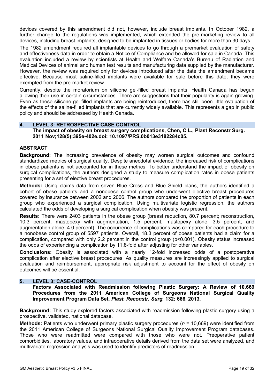devices covered by this amendment did not, however, include breast implants. In October 1982, a further change to the regulations was implemented, which extended the pre-marketing review to all devices, including breast implants, designed to be implanted in tissues or bodies for more than 30 days.

The 1982 amendment required all implantable devices to go through a premarket evaluation of safety and effectiveness data in order to obtain a Notice of Compliance and be allowed for sale in Canada. This evaluation included a review by scientists at Health and Welfare Canada's Bureau of Radiation and Medical Devices of animal and human test results and manufacturing data supplied by the manufacturer. However, the review was required only for devices introduced after the date the amendment became effective. Because most saline-filled implants were available for sale before this date, they were exempted from the pre-market review.

Currently, despite the moratorium on silicone gel-filled breast implants, Health Canada has begun allowing their use in certain circumstances. There are suggestions that their popularity is again growing. Even as these silicone gel-filled implants are being reintroduced, there has still been little evaluation of the effects of the saline-filled implants that are currently widely available. This represents a gap in public policy and should be addressed by Health Canada.

## **4. LEVEL 3: RETROSPECTIVE CASE CONTROL**

**The impact of obesity on breast surgery complications, Chen, C L., Plast Reconstr Surg. 2011 Nov;128(5):395e-402e.doi: 10.1097/PRS.0b013e3182284c05.**

## **ABSTRACT**

**Background:** The increasing prevalence of obesity may worsen surgical outcomes and confound standardized metrics of surgical quality. Despite anecdotal evidence, the increased risk of complications in obese patients is not accounted for in these metrics. To better understand the impact of obesity on surgical complications, the authors designed a study to measure complication rates in obese patients presenting for a set of elective breast procedures.

**Methods:** Using claims data from seven Blue Cross and Blue Shield plans, the authors identified a cohort of obese patients and a nonobese control group who underwent elective breast procedures covered by insurance between 2002 and 2006. The authors compared the proportion of patients in each group who experienced a surgical complication. Using multivariate logistic regression, the authors calculated the odds of developing a surgical complication when obesity was present.

**Results:** There were 2403 patients in the obese group (breast reduction, 80.7 percent; reconstruction, 10.3 percent; mastopexy with augmentation, 1.5 percent; mastopexy alone, 3.5 percent; and augmentation alone, 4.0 percent). The occurrence of complications was compared for each procedure to a nonobese control group of 5597 patients. Overall, 18.3 percent of obese patients had a claim for a complication, compared with only 2.2 percent in the control group (p<0.001). Obesity status increased the odds of experiencing a complication by 11.8-fold after adjusting for other variables.

**Conclusions:** Obesity is associated with a nearly 12-fold increased odds of a postoperative complication after elective breast procedures. As quality measures are increasingly applied to surgical evaluation and reimbursement, appropriate risk adjustment to account for the effect of obesity on outcomes will be essential.

## **5. LEVEL 3: CASE-CONTROL**

**Factors Associated with Readmission following Plastic Surgery: A Review of 10,669 Procedures from the 2011 American College of Surgeons National Surgical Quality Improvement Program Data Set,** *Plast. Reconstr. Surg.* **132: 666, 2013.**

**Background:** This study explored factors associated with readmission following plastic surgery using a prospective, validated, national database.

**Methods:** Patients who underwent primary plastic surgery procedures (*n* = 10,669) were identified from the 2011 American College of Surgeons National Surgical Quality Improvement Program databases. Those who were readmitted were compared with those who were not. Preoperative patient comorbidities, laboratory values, and intraoperative details derived from the data set were analyzed, and multivariate regression analysis was used to identify predictors of readmission.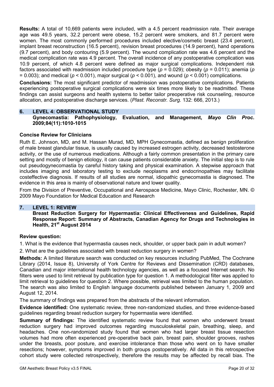**Results:** A total of 10,669 patients were included, with a 4.5 percent readmission rate. Their average age was 49.5 years, 32.2 percent were obese, 15.2 percent were smokers, and 81.7 percent were women. The most commonly performed procedures included elective/cosmetic breast (23.4 percent), implant breast reconstruction (16.5 percent), revision breast procedures (14.9 percent), hand operations (9.7 percent), and body contouring (5.9 percent). The wound complication rate was 4.6 percent and the medical complication rate was 4.9 percent. The overall incidence of any postoperative complication was 10.9 percent, of which 4.8 percent were defined as major surgical complications. Independent risk factors associated with readmission included procedure type (*p* = 0.029); obesity (*p* = 0.011); anemia (*p*  = 0.003); and medical (*p* < 0.001), major surgical (*p* < 0.001), and wound (*p* < 0.001) complications.

**Conclusions:** The most significant predictor of readmission was postoperative complications. Patients experiencing postoperative surgical complications were six times more likely to be readmitted. These findings can assist surgeons and health systems to better tailor preoperative risk counseling, resource allocation, and postoperative discharge services. (*Plast. Reconstr. Surg.* 132: 666, 2013.)

#### **6. LEVEL 4: OBSERVATIONAL STUDY Gynecomastia: Pathophysiology, Evaluation, and Management,** *Mayo Clin Proc.*  **2009;84(11):1010-1015**

## **Concise Review for Clinicians**

Ruth E. Johnson, MD, and M. Hassan Murad, MD, MPH Gynecomastia, defined as benign proliferation of male breast glandular tissue, is usually caused by increased estrogen activity, decreased testosterone activity, or the use of numerous medications. Although a fairly common presentation in the primary care setting and mostly of benign etiology, it can cause patients considerable anxiety. The initial step is to rule out pseudogynecomastia by careful history taking and physical examination. A stepwise approach that includes imaging and laboratory testing to exclude neoplasms and endocrinopathies may facilitate costeffective diagnosis. If results of all studies are normal, idiopathic gynecomastia is diagnosed. The evidence in this area is mainly of observational nature and lower quality.

From the Division of Preventive, Occupational and Aerospace Medicine, Mayo Clinic, Rochester, MN. © 2009 Mayo Foundation for Medical Education and Research

## **7. LEVEL 1: REVIEW**

**Breast Reduction Surgery for Hypermastia: Clinical Effectiveness and Guidelines, Rapid Response Report: Summary of Abstracts, Canadian Agency for Drugs and Technologies in Health, 21***<sup>P</sup>* **st***<sup>P</sup>* **August 2014**

## **Review question:**

1. What is the evidence that hypermastia causes neck, shoulder, or upper back pain in adult women?

2. What are the guidelines associated with breast reduction surgery in women?

**Methods:** A limited literature search was conducted on key resources including PubMed, The Cochrane Library (2014, Issue 8), University of York Centre for Reviews and Dissemination (CRD) databases, Canadian and major international health technology agencies, as well as a focused Internet search. No filters were used to limit retrieval by publication type for question 1. A methodological filter was applied to limit retrieval to guidelines for question 2. Where possible, retrieval was limited to the human population. The search was also limited to English language documents published between January 1, 2009 and August 12, 2014.

The summary of findings was prepared from the abstracts of the relevant information.

**Evidence identified:** One systematic review, three non-randomized studies, and three evidence-based guidelines regarding breast reduction surgery for hypermastia were identified.

**Summary of findings:** The identified systematic review found that women who underwent breast reduction surgery had improved outcomes regarding musculoskeletal pain, breathing, sleep, and headaches. One non-randomized study found that women who had larger breast tissue resection volumes had more often experienced pre-operative back pain, breast pain, shoulder grooves, rashes under the breasts, poor posture, and exercise intolerance than those who went on to have smaller resections; however, symptoms improved in both groups postoperatively. All data in this retrospective cohort study were collected retrospectively, therefore the results may be affected by recall bias. The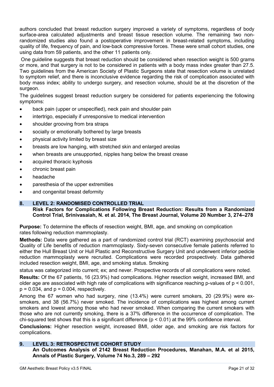authors concluded that breast reduction surgery improved a variety of symptoms, regardless of body surface-area calculated adjustments and breast tissue resection volume. The remaining two nonrandomized studies also found a postoperative improvement in breast-related symptoms, including quality of life, frequency of pain, and low-back compressive forces. These were small cohort studies, one using data from 59 patients, and the other 11 patients only.

One guideline suggests that breast reduction should be considered when resection weight is 500 grams or more, and that surgery is not to be considered in patients with a body mass index greater than 27.5. Two guidelines from the American Society of Plastic Surgeons state that resection volume is unrelated to symptom relief, and there is inconclusive evidence regarding the risk of complication associated with body mass index; ability to undergo surgery, and resection volume, should be at the discretion of the surgeon.

The guidelines suggest breast reduction surgery be considered for patients experiencing the following symptoms:

- back pain (upper or unspecified), neck pain and shoulder pain
- intertrigo, especially if unresponsive to medical intervention
- shoulder grooving from bra straps
- socially or emotionally bothered by large breasts
- physical activity limited by breast size
- breasts are low hanging, with stretched skin and enlarged areolas
- when breasts are unsupported, nipples hang below the breast crease
- acquired thoracic kyphosis
- chronic breast pain
- headache
- paresthesia of the upper extremities
- and congenital breast deformity

## **8. LEVEL 2: RANDOMISED CONTROLLED TRIAL**

**Risk Factors for Complications Following Breast Reduction: Results from a Randomized Control Trial, Srinivasaiah, N. et al. 2014, The Breast Journal, Volume 20 Number 3, 274–278**

**Purpose:** To determine the effects of resection weight, BMI, age, and smoking on complication rates following reduction mammoplasty.

**Methods:** Data were gathered as a part of randomized control trial (RCT) examining psychosocial and Quality of Life benefits of reduction mammoplasty. Sixty-seven consecutive female patients referred to either the Hull Breast Unit or Hull Plastic and Reconstructive Surgery Unit and underwent inferior pedicle reduction mammoplasty were recruited. Complications were recorded prospectively. Data gathered included resection weight, BMI, age, and smoking status. Smoking

status was categorized into current; ex; and never. Prospective records of all complications were noted.

**Results:** Of the 67 patients, 16 (23.9%) had complications. Higher resection weight, increased BMI, and older age are associated with high rate of complications with significance reaching p-values of  $p < 0.001$ ,  $p = 0.034$ , and  $p = 0.004$ , respectively.

Among the 67 women who had surgery, nine (13.4%) were current smokers, 20 (29.9%) were exsmokers, and 38 (56.7%) never smoked. The incidence of complications was highest among current smokers and lowest among those who had never smoked. When comparing the current smokers with those who are not currently smoking, there is a 37% difference in the occurrence of complication. The chi-squared test shows that this is a significant difference (p < 0.01) at the 99% confidence interval.

**Conclusions:** Higher resection weight, increased BMI, older age, and smoking are risk factors for complications.

## **9. LEVEL 3: RETROSPECTIVE COHORT STUDY**

**An Outcomes Analysis of 2142 Breast Reduction Procedures, Manahan, M.A. et al 2015, Annals of Plastic Surgery, Volume 74 No.3, 289 – 292**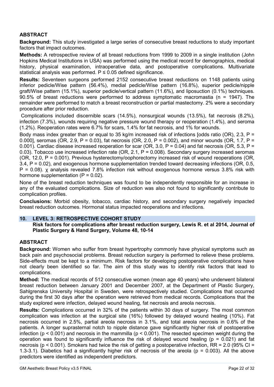## **ABSTRACT**

**Background:** This study investigated a large series of consecutive breast reductions to study important factors that impact outcomes.

**Methods:** A retrospective review of all breast reductions from 1999 to 2009 in a single institution (John Hopkins Medical Institutions in USA) was performed using the medical record for demographics, medical history, physical examination, intraoperative data, and postoperative complications. Multivariate statistical analysis was performed.  $P \le 0.05$  defined significance.

**Results:** Seventeen surgeons performed 2152 consecutive breast reductions on 1148 patients using inferior pedicle/Wise pattern (56.4%), medial pedicle/Wise pattern (16.8%), superior pedicle/nipple graft/Wise pattern (15.1%), superior pedicle/vertical pattern (11.6%), and liposuction (0.1%) techniques. 90.5% of breast reductions were performed to address symptomatic macromastia (n = 1947). The remainder were performed to match a breast reconstruction or partial mastectomy. 2% were a secondary procedure after prior reduction.

Complications included discernible scars (14.5%), nonsurgical wounds (13.5%), fat necrosis (8.2%), infection (7.3%), wounds requiring negative pressure wound therapy or reoperation (1.4%), and seroma (1.2%). Reoperation rates were 6.7% for scars, 1.4% for fat necrosis, and 1% for wounds.

Body mass index greater than or equal to 35 kg/m increased risk of infections [odds ratio (OR), 2.3,  $P =$ 0.000], seromas (OR, 2.9, P = 0.03), fat necrosis (OR, 2.0, P = 0.002), and minor wounds (OR, 1.7, P = 0.001). Cardiac disease increased reoperation for scar (OR, 3.0,  $P = 0.04$ ) and fat necrosis (OR, 5.3,  $P =$ 0.03). Tobacco use increased infection rate (OR, 2.1, P = 0.008). Secondary surgery increased seromas (OR, 12.0, P = 0.001). Previous hysterectomy/oophorectomy increased risk of wound reoperations (OR, 3.4, P = 0.02), and exogenous hormone supplementation trended toward decreasing infections (OR, 0.5, P = 0.08). χ analysis revealed 7.8% infection risk without exogenous hormone versus 3.8% risk with hormone supplementation  $(P = 0.02)$ .

None of the breast reduction techniques was found to be independently responsible for an increase in any of the evaluated complications. Size of reduction was also not found to significantly contribute to complication profiles.

**Conclusions:** Morbid obesity, tobacco, cardiac history, and secondary surgery negatively impacted breast reduction outcomes. Hormonal status impacted reoperations and infections.

## **10. LEVEL 3: RETROSPECTIVE COHORT STUDY**

## **Risk factors for complications after breast reduction surgery, Lewis R. et al 2014, Journal of Plastic Surgery & Hand Surgery, Volume 48, 10-14**

## **ABSTRACT**

**Background:** Women who suffer from breast hypertrophy commonly have physical symptoms such as back pain and psychosocial problems. Breast reduction surgery is performed to relieve these problems. Side-effects must be kept to a minimum. Risk factors for developing postoperative complications have not clearly been identified so far. The aim of this study was to identify risk factors that lead to complications.

**Method:** The medical records of 512 consecutive women (mean age 40 years) who underwent bilateral breast reduction between January 2001 and December 2007, at the Department of Plastic Surgery, Sahlgrenska University Hospital in Sweden, were retrospectively studied. Complications that occurred during the first 30 days after the operation were retrieved from medical records. Complications that the study explored were infection, delayed wound healing, fat necrosis and areola necrosis.

**Results:** Complications occurred in 32% of the patients within 30 days of surgery. The most common complication was infection at the surgical site (16%) followed by delayed wound healing (10%). Fat necrosis occurred in 2.5%, partial areola necrosis in 3.1%, and total areola necrosis in 0.6% of the patients. A longer suprasternal notch to nipple distance gave significantly higher risk of postoperative infection ( $p < 0.001$ ) and necrosis in the mammilla ( $p < 0.001$ ). The resected specimen weight during the operation was found to significantly influence the risk of delayed wound healing ( $p = 0.021$ ) and fat necrosis (p < 0.001). Smokers had twice the risk of getting a postoperative infection, RR = 2.0 (95% CI = 1.3-3.1). Diabetics had a significantly higher risk of necrosis of the areola ( $p = 0.003$ ). All the above predictors were identified as independent predictors.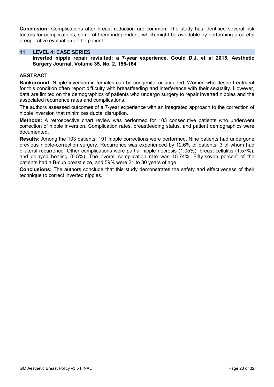**Conclusion:** Complications after breast reduction are common. The study has identified several risk factors for complications, some of them independent, which might be avoidable by performing a careful preoperative evaluation of the patient.

#### **11. LEVEL 4: CASE SERIES**

**Inverted nipple repair revisited: a 7-year experience, Gould D.J. et al 2015, Aesthetic Surgery Journal, Volume 35, No. 2, 156-164**

#### **ABSTRACT**

**Background:** Nipple inversion in females can be congenital or acquired. Women who desire treatment for this condition often report difficulty with breastfeeding and interference with their sexuality. However, data are limited on the demographics of patients who undergo surgery to repair inverted nipples and the associated recurrence rates and complications.

The authors assessed outcomes of a 7-year experience with an integrated approach to the correction of nipple inversion that minimizes ductal disruption.

**Methods:** A retrospective chart review was performed for 103 consecutive patients who underwent correction of nipple inversion. Complication rates, breastfeeding status, and patient demographics were documented.

**Results:** Among the 103 patients, 191 nipple corrections were performed. Nine patients had undergone previous nipple-correction surgery. Recurrence was experienced by 12.6% of patients, 3 of whom had bilateral recurrence. Other complications were partial nipple necrosis (1.05%), breast cellulitis (1.57%), and delayed healing (0.5%). The overall complication rate was 15.74%. Fifty-seven percent of the patients had a B-cup breast size, and 59% were 21 to 30 years of age.

**Conclusions:** The authors conclude that this study demonstrates the safety and effectiveness of their technique to correct inverted nipples.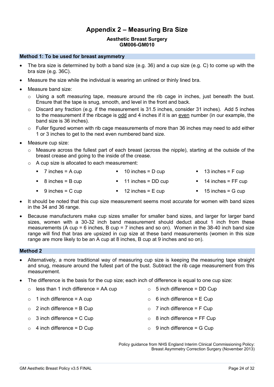## **Appendix 2 – Measuring Bra Size**

#### **[Aesthetic Breast Surgery](#page-0-0) [GM006-GM010](#page-0-1)**

#### <span id="page-23-0"></span>**Method 1: To be used for breast asymmetry**

- The bra size is determined by both a band size (e.g. 36) and a cup size (e.g. C) to come up with the bra size (e.g. 36C).
- Measure the size while the individual is wearing an unlined or thinly lined bra.
- Measure band size:
	- $\circ$  Using a soft measuring tape, measure around the rib cage in inches, just beneath the bust. Ensure that the tape is snug, smooth, and level in the front and back.
	- $\circ$  Discard any fraction (e.g. if the measurement is 31.5 inches, consider 31 inches). Add 5 inches to the measurement if the ribcage is odd and 4 inches if it is an even number (in our example, the band size is 36 inches).
	- $\circ$  Fuller figured women with rib cage measurements of more than 36 inches may need to add either 1 or 3 inches to get to the next even numbered band size.
- Measure cup size:
	- $\circ$  Measure across the fullest part of each breast (across the nipple), starting at the outside of the breast crease and going to the inside of the crease.
	- o A cup size is allocated to each measurement:
		- $\blacksquare$  7 inches = A cup  $\blacksquare$  10 inches = D cup  $\blacksquare$  13 inches = F cup
		- 8 inches = B cup **11 inches = DD cup 14 inches = FF cup**
		- $9$  inches = C cup  $12$  inches = E cup  $15$  inches = G cup
- It should be noted that this cup size measurement seems most accurate for women with band sizes in the 34 and 36 range.
- Because manufacturers make cup sizes smaller for smaller band sizes, and larger for larger band sizes, women with a 30-32 inch band measurement should deduct about 1 inch from these measurements (A cup = 6 inches, B cup = 7 inches and so on). Women in the 38-40 inch band size range will find that bras are upsized in cup size at these band measurements (women in this size range are more likely to be an A cup at 8 inches, B cup at 9 inches and so on).

## **Method 2**

- Alternatively, a more traditional way of measuring cup size is keeping the measuring tape straight and snug, measure around the fullest part of the bust. Subtract the rib cage measurement from this measurement.
- The difference is the basis for the cup size; each inch of difference is equal to one cup size:

| $\circ$ | less than 1 inch difference $=$ AA cup | $\circ$ 5 inch difference = DD Cup |
|---------|----------------------------------------|------------------------------------|
|         | $\circ$ 1 inch difference = A cup      | $\circ$ 6 inch difference = E Cup  |
|         | $\circ$ 2 inch difference = B Cup      | $\circ$ 7 inch difference = F Cup  |
|         | $\circ$ 3 inch difference = C Cup      | $\circ$ 8 inch difference = FF Cup |
|         | $\circ$ 4 inch difference = D Cup      | $\circ$ 9 inch difference = G Cup  |
|         |                                        |                                    |

Policy guidance from NHS England Interim Clinical Commissioning Policy: Breast Asymmetry Correction Surgery (November 2013)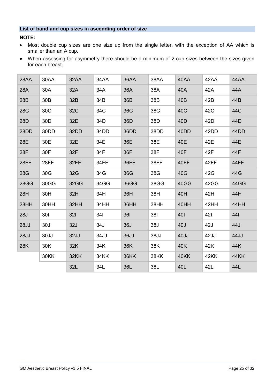## **List of band and cup sizes in ascending order of size**

**NOTE:**

- Most double cup sizes are one size up from the single letter, with the exception of AA which is smaller than an A cup.
- When assessing for asymmetry there should be a minimum of 2 cup sizes between the sizes given for each breast.

| 28AA        | 30AA            | 32AA       | 34AA | 36AA        | 38AA        | 40AA            | 42AA | 44AA        |
|-------------|-----------------|------------|------|-------------|-------------|-----------------|------|-------------|
| 28A         | 30A             | 32A        | 34A  | 36A         | 38A         | 40A             | 42A  | 44A         |
| 28B         | 30 <sub>B</sub> | 32B        | 34B  | 36B         | 38B         | 40B             | 42B  | 44B         |
| <b>28C</b>  | 30C             | <b>32C</b> | 34C  | <b>36C</b>  | 38C         | 40C             | 42C  | 44C         |
| 28D         | 30D             | 32D        | 34D  | 36D         | 38D         | 40 <sub>D</sub> | 42D  | 44D         |
| 28DD        | 30DD            | 32DD       | 34DD | 36DD        | 38DD        | 40DD            | 42DD | 44DD        |
| 28E         | 30E             | 32E        | 34E  | 36E         | 38E         | 40E             | 42E  | 44E         |
| 28F         | 30F             | 32F        | 34F  | 36F         | 38F         | 40F             | 42F  | 44F         |
| 28FF        | 28FF            | 32FF       | 34FF | 36FF        | 38FF        | 40FF            | 42FF | 44FF        |
| 28G         | 30G             | 32G        | 34G  | 36G         | 38G         | 40G             | 42G  | 44G         |
| <b>28GG</b> | 30GG            | 32GG       | 34GG | 36GG        | 38GG        | 40GG            | 42GG | 44GG        |
| 28H         | 30H             | 32H        | 34H  | 36H         | 38H         | 40H             | 42H  | 44H         |
| 28HH        | 30HH            | 32HH       | 34HH | 36HH        | 38HH        | 40HH            | 42HH | 44HH        |
| 28J         | 301             | <b>321</b> | 34I  | 361         | 381         | 401             | 421  | 441         |
| <b>28JJ</b> | 30J             | <b>32J</b> | 34J  | 36J         | 38J         | 40J             | 42J  | 44J         |
| <b>28JJ</b> | 30JJ            | 32JJ       | 34JJ | 36JJ        | 38JJ        | 40JJ            | 42JJ | 44JJ        |
| 28K         | 30K             | 32K        | 34K  | 36K         | 38K         | 40K             | 42K  | 44K         |
|             | 30KK            | 32KK       | 34KK | <b>36KK</b> | <b>38KK</b> | 40KK            | 42KK | <b>44KK</b> |
|             |                 | 32L        | 34L  | 36L         | 38L         | 40L             | 42L  | 44L         |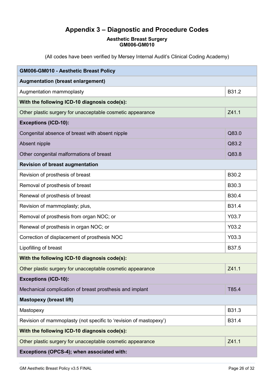# **Appendix 3 – Diagnostic and Procedure Codes**

## **[Aesthetic Breast Surgery](#page-0-0) [GM006-GM010](#page-0-1)**

<span id="page-25-0"></span>(All codes have been verified by Mersey Internal Audit's Clinical Coding Academy)

| GM006-GM010 - Aesthetic Breast Policy                             |       |  |  |  |  |
|-------------------------------------------------------------------|-------|--|--|--|--|
| <b>Augmentation (breast enlargement)</b>                          |       |  |  |  |  |
| Augmentation mammoplasty                                          | B31.2 |  |  |  |  |
| With the following ICD-10 diagnosis code(s):                      |       |  |  |  |  |
| Other plastic surgery for unacceptable cosmetic appearance        | Z41.1 |  |  |  |  |
| <b>Exceptions (ICD-10):</b>                                       |       |  |  |  |  |
| Congenital absence of breast with absent nipple                   | Q83.0 |  |  |  |  |
| Absent nipple                                                     | Q83.2 |  |  |  |  |
| Other congenital malformations of breast                          | Q83.8 |  |  |  |  |
| <b>Revision of breast augmentation</b>                            |       |  |  |  |  |
| Revision of prosthesis of breast                                  | B30.2 |  |  |  |  |
| Removal of prosthesis of breast                                   | B30.3 |  |  |  |  |
| Renewal of prosthesis of breast                                   | B30.4 |  |  |  |  |
| Revision of mammoplasty; plus,                                    | B31.4 |  |  |  |  |
| Removal of prosthesis from organ NOC; or                          | Y03.7 |  |  |  |  |
| Renewal of prosthesis in organ NOC; or                            | Y03.2 |  |  |  |  |
| Correction of displacement of prosthesis NOC                      | Y03.3 |  |  |  |  |
| Lipofilling of breast                                             | B37.5 |  |  |  |  |
| With the following ICD-10 diagnosis code(s):                      |       |  |  |  |  |
| Other plastic surgery for unacceptable cosmetic appearance        | Z41.1 |  |  |  |  |
| <b>Exceptions (ICD-10):</b>                                       |       |  |  |  |  |
| Mechanical complication of breast prosthesis and implant          | T85.4 |  |  |  |  |
| <b>Mastopexy (breast lift)</b>                                    |       |  |  |  |  |
| Mastopexy                                                         | B31.3 |  |  |  |  |
| Revision of mammoplasty (not specific to 'revision of mastopexy') | B31.4 |  |  |  |  |
| With the following ICD-10 diagnosis code(s):                      |       |  |  |  |  |
| Other plastic surgery for unacceptable cosmetic appearance        | Z41.1 |  |  |  |  |
| Exceptions (OPCS-4); when associated with:                        |       |  |  |  |  |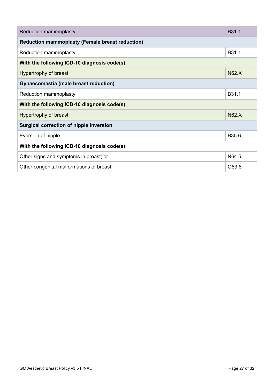| Reduction mammoplasty                                  |              |  |  |  |
|--------------------------------------------------------|--------------|--|--|--|
| <b>Reduction mammoplasty (Female breast reduction)</b> |              |  |  |  |
| Reduction mammoplasty                                  |              |  |  |  |
| With the following ICD-10 diagnosis code(s):           |              |  |  |  |
| Hypertrophy of breast                                  | <b>N62.X</b> |  |  |  |
| Gynaecomastia (male breast reduction)                  |              |  |  |  |
| Reduction mammoplasty                                  | B31.1        |  |  |  |
| With the following ICD-10 diagnosis code(s):           |              |  |  |  |
| Hypertrophy of breast                                  | <b>N62.X</b> |  |  |  |
| Surgical correction of nipple inversion                |              |  |  |  |
| Eversion of nipple                                     | B35.6        |  |  |  |
| With the following ICD-10 diagnosis code(s):           |              |  |  |  |
| Other signs and symptoms in breast; or                 | N64.5        |  |  |  |
| Other congenital malformations of breast               | Q83.8        |  |  |  |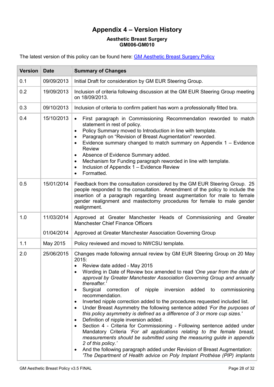# **Appendix 4 – Version History**

## **[Aesthetic Breast Surgery](#page-0-0) [GM006-GM010](#page-0-1)**

<span id="page-27-0"></span>The latest version of this policy can be found here: **[GM Aesthetic Breast Surgery Policy](https://gmeurnhs.co.uk/Docs/GM%20Policies/GM%20Aesthetic%20Breast%20Policy.pdf)** 

| <b>Version</b> | <b>Date</b> | <b>Summary of Changes</b>                                                                                                                                                                                                                                                                                                                                                                                                                                                                                                                                                                                                                                                                                                                                                                                                                                                                                                                                                                                                                                                                                                           |
|----------------|-------------|-------------------------------------------------------------------------------------------------------------------------------------------------------------------------------------------------------------------------------------------------------------------------------------------------------------------------------------------------------------------------------------------------------------------------------------------------------------------------------------------------------------------------------------------------------------------------------------------------------------------------------------------------------------------------------------------------------------------------------------------------------------------------------------------------------------------------------------------------------------------------------------------------------------------------------------------------------------------------------------------------------------------------------------------------------------------------------------------------------------------------------------|
| 0.1            | 09/09/2013  | Initial Draft for consideration by GM EUR Steering Group.                                                                                                                                                                                                                                                                                                                                                                                                                                                                                                                                                                                                                                                                                                                                                                                                                                                                                                                                                                                                                                                                           |
| 0.2            | 19/09/2013  | Inclusion of criteria following discussion at the GM EUR Steering Group meeting<br>on 18/09/2013.                                                                                                                                                                                                                                                                                                                                                                                                                                                                                                                                                                                                                                                                                                                                                                                                                                                                                                                                                                                                                                   |
| 0.3            | 09/10/2013  | Inclusion of criteria to confirm patient has worn a professionally fitted bra.                                                                                                                                                                                                                                                                                                                                                                                                                                                                                                                                                                                                                                                                                                                                                                                                                                                                                                                                                                                                                                                      |
| 0.4            | 15/10/2013  | First paragraph in Commissioning Recommendation reworded to match<br>$\bullet$<br>statement in rest of policy.<br>Policy Summary moved to Introduction in line with template.<br>$\bullet$<br>Paragraph on "Revision of Breast Augmentation" reworded.<br>$\bullet$<br>Evidence summary changed to match summary on Appendix $1 -$ Evidence<br>$\bullet$<br>Review<br>Absence of Evidence Summary added.<br>٠<br>Mechanism for Funding paragraph reworded in line with template.<br>$\bullet$<br>Inclusion of Appendix 1 - Evidence Review<br>$\bullet$<br>Formatted.<br>$\bullet$                                                                                                                                                                                                                                                                                                                                                                                                                                                                                                                                                  |
| 0.5            | 15/01/2014  | Feedback from the consultation considered by the GM EUR Steering Group. 25<br>people responded to the consultation. Amendment of the policy to include the<br>insertion of a paragraph regarding breast augmentation for male to female<br>gender realignment and mastectomy procedures for female to male gender<br>realignment.                                                                                                                                                                                                                                                                                                                                                                                                                                                                                                                                                                                                                                                                                                                                                                                                   |
| 1.0            | 11/03/2014  | Approved at Greater Manchester Heads of Commissioning and Greater<br><b>Manchester Chief Finance Officers</b>                                                                                                                                                                                                                                                                                                                                                                                                                                                                                                                                                                                                                                                                                                                                                                                                                                                                                                                                                                                                                       |
|                | 01/04/2014  | Approved at Greater Manchester Association Governing Group                                                                                                                                                                                                                                                                                                                                                                                                                                                                                                                                                                                                                                                                                                                                                                                                                                                                                                                                                                                                                                                                          |
| 1.1            | May 2015    | Policy reviewed and moved to NWCSU template.                                                                                                                                                                                                                                                                                                                                                                                                                                                                                                                                                                                                                                                                                                                                                                                                                                                                                                                                                                                                                                                                                        |
| 2.0            | 25/06/2015  | Changes made following annual review by GM EUR Steering Group on 20 May<br>2015:<br>Review date added - May 2015<br>Wording in Date of Review box amended to read 'One year from the date of<br>approval by Greater Manchester Association Governing Group and annually<br>thereafter.'<br>Surgical correction of nipple<br>inversion added to commissioning<br>٠<br>recommendation.<br>Inverted nipple correction added to the procedures requested included list.<br>$\bullet$<br>Under Breast Asymmetry the following sentence added 'For the purposes of<br>$\bullet$<br>this policy asymmetry is defined as a difference of 3 or more cup sizes.'<br>Definition of nipple inversion added.<br>٠<br>Section 4 - Criteria for Commissioning - Following sentence added under<br>٠<br>Mandatory Criteria 'For all applications relating to the female breast,<br>measurements should be submitted using the measuring guide in appendix<br>2 of this policy.'<br>And the following paragraph added under Revision of Breast Augmentation:<br>$\bullet$<br>The Department of Health advice on Poly Implant Prothèse (PIP) implants |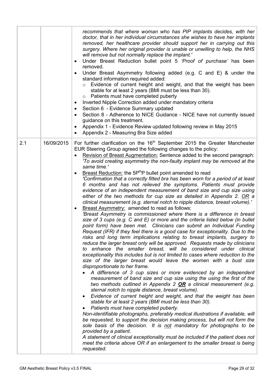|     |            | recommends that where woman who has PIP implants decides, with her<br>doctor, that in her individual circumstances she wishes to have her implants<br>removed, her healthcare provider should support her in carrying out this<br>surgery. Where her original provider is unable or unwilling to help, the NHS<br>will remove but not normally replace the implant.'<br>Under Breast Reduction bullet point 5 'Proof of purchase' has been<br>$\bullet$<br>removed.<br>Under Breast Asymmetry following added (e.g. C and E) & under the<br>standard information required added:<br>Evidence of current height and weight, and that the weight has been<br>stable for at least 2 years (BMI must be less than 30).<br>$\circ$ Patients must have completed puberty<br>Inverted Nipple Correction added under mandatory criteria<br>$\bullet$<br>Section 6 - Evidence Summary updated<br>Section 8 - Adherence to NICE Guidance - NICE have not currently issued<br>guidance on this treatment.<br>Appendix 1 - Evidence Review updated following review in May 2015<br>$\bullet$<br>Appendix 2 - Measuring Bra Size added<br>$\bullet$                                                                                                                                                                                                                                                                                                                                                                                                                                                                                                                                                                                                                                                                                                                                                                                                                                                                                                                                                                                                                                                                                                                                                                                                                                                                                                                                                                                              |
|-----|------------|-------------------------------------------------------------------------------------------------------------------------------------------------------------------------------------------------------------------------------------------------------------------------------------------------------------------------------------------------------------------------------------------------------------------------------------------------------------------------------------------------------------------------------------------------------------------------------------------------------------------------------------------------------------------------------------------------------------------------------------------------------------------------------------------------------------------------------------------------------------------------------------------------------------------------------------------------------------------------------------------------------------------------------------------------------------------------------------------------------------------------------------------------------------------------------------------------------------------------------------------------------------------------------------------------------------------------------------------------------------------------------------------------------------------------------------------------------------------------------------------------------------------------------------------------------------------------------------------------------------------------------------------------------------------------------------------------------------------------------------------------------------------------------------------------------------------------------------------------------------------------------------------------------------------------------------------------------------------------------------------------------------------------------------------------------------------------------------------------------------------------------------------------------------------------------------------------------------------------------------------------------------------------------------------------------------------------------------------------------------------------------------------------------------------------------------------------------------------------------------------------------------------------------------|
| 2.1 | 16/09/2015 | For further clarification on the $16th$ September 2015 the Greater Manchester<br>EUR Steering Group agreed the following changes to the policy:<br>Revision of Breast Augmentation: Sentence added to the second paragraph:<br>'To avoid creating asymmetry the non-faulty implant may be removed at the<br>same time.'<br>Breast Reduction: the 5P <sup>th</sup> P bullet point amended to read<br>'Confirmation that a correctly fitted bra has been worn for a period of at least<br>6 months and has not relieved the symptoms. Patients must provide<br>evidence of an independent measurement of band size and cup size using<br>either of the two methods for cup size as detailed in Appendix 2. OR a<br>clinical measurement (e.g. sternal notch to nipple distance, breast volume).'<br><b>Breast Asymmetry:</b> amended to read as follows:<br>'Breast Asymmetry is commissioned where there is a difference in breast<br>size of 3 cups (e.g. C and E) or more and the criteria listed below (in bullet<br>point form) have been met. Clinicians can submit an Individual Funding<br>Request (IFR) if they feel there is a good case for exceptionality. Due to the<br>risks and long term implications relating to breast implants, surgery to<br>reduce the larger breast only will be approved. Requests made by clinicians<br>to enhance the smaller breast, will be considered under clinical<br>exceptionality this includes but is not limited to cases where reduction to the<br>size of the larger breast would leave the women with a bust size<br>disproportionate to her frame.<br>A difference of 3 cup sizes or more evidenced by an independent<br>measurement of band size and cup size using the using the first of the<br>two methods outlined in Appendix 2 OR a clinical measurement (e.g.<br>sternal notch to nipple distance, breast volume).<br>Evidence of current height and weight, and that the weight has been<br>$\bullet$<br>stable for at least 2 years (BMI must be less than 30).<br>Patients must have completed puberty.<br>٠<br>Non-identifiable photographs, preferably medical illustrations if available, will<br>be requested, to support the decision making process, but will not form the<br>sole basis of the decision. It is not mandatory for photographs to be<br>provided by a patient.<br>A statement of clinical exceptionality must be included if the patient does not<br>meet the criteria above OR if an enlargement to the smaller breast is being<br>requested. |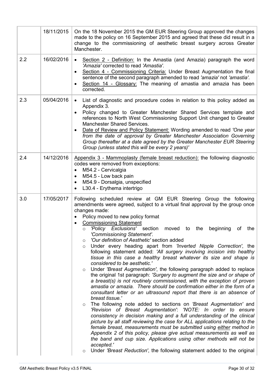|     | 18/11/2015 | On the 18 November 2015 the GM EUR Steering Group approved the changes<br>made to the policy on 16 September 2015 and agreed that these did result in a<br>change to the commissioning of aesthetic breast surgery across Greater<br>Manchester.                                                                                                                                                                                                                                                                                                                                                                                                                                                                                                                                                                                                                                                                                                                                                                                                                                                                                                                                                                                                                                                                                                                                                                                                                                                                                                                                                                                                                                                                                                            |
|-----|------------|-------------------------------------------------------------------------------------------------------------------------------------------------------------------------------------------------------------------------------------------------------------------------------------------------------------------------------------------------------------------------------------------------------------------------------------------------------------------------------------------------------------------------------------------------------------------------------------------------------------------------------------------------------------------------------------------------------------------------------------------------------------------------------------------------------------------------------------------------------------------------------------------------------------------------------------------------------------------------------------------------------------------------------------------------------------------------------------------------------------------------------------------------------------------------------------------------------------------------------------------------------------------------------------------------------------------------------------------------------------------------------------------------------------------------------------------------------------------------------------------------------------------------------------------------------------------------------------------------------------------------------------------------------------------------------------------------------------------------------------------------------------|
| 2.2 | 16/02/2016 | Section 2 - Definition: In the Amastia (and Amazia) paragraph the word<br>$\bullet$<br>'Amazia' corrected to read 'Amastia'.<br>Section 4 - Commissioning Criteria: Under Breast Augmentation the final<br>$\bullet$<br>sentence of the second paragraph amended to read 'amazia' not 'amastia'.<br>Section 14 - Glossary: The meaning of amastia and amazia has been<br>corrected.                                                                                                                                                                                                                                                                                                                                                                                                                                                                                                                                                                                                                                                                                                                                                                                                                                                                                                                                                                                                                                                                                                                                                                                                                                                                                                                                                                         |
| 2.3 | 05/04/2016 | List of diagnostic and procedure codes in relation to this policy added as<br>$\bullet$<br>Appendix 3.<br>Policy changed to Greater Manchester Shared Services template and<br>$\bullet$<br>references to North West Commissioning Support Unit changed to Greater<br><b>Manchester Shared Services.</b><br>Date of Review and Policy Statement: Wording amended to read 'One year<br>$\bullet$<br>from the date of approval by Greater Manchester Association Governing<br>Group thereafter at a date agreed by the Greater Manchester EUR Steering<br>Group (unless stated this will be every 2 years)'                                                                                                                                                                                                                                                                                                                                                                                                                                                                                                                                                                                                                                                                                                                                                                                                                                                                                                                                                                                                                                                                                                                                                   |
| 2.4 | 14/12/2016 | Appendix 3 - Mammoplasty (female breast reduction): the following diagnostic<br>codes were removed from exceptions:<br>M54.2 - Cervicalgia<br>$\bullet$<br>M54.5 - Low back pain<br>$\bullet$<br>M54.9 - Dorsalgia, unspecified<br>$\bullet$<br>L30.4 - Erythema intertrigo<br>$\bullet$                                                                                                                                                                                                                                                                                                                                                                                                                                                                                                                                                                                                                                                                                                                                                                                                                                                                                                                                                                                                                                                                                                                                                                                                                                                                                                                                                                                                                                                                    |
| 3.0 | 17/05/2017 | Following scheduled review at GM EUR Steering Group the following<br>amendments were agreed, subject to a virtual final approval by the group once<br>changes made:<br>Policy moved to new policy format<br>$\bullet$<br><b>Commissioning Statement</b><br>$\bullet$<br>o 'Policy Exclusions' section<br>beginning<br>moved<br>the<br>of<br>the<br>to<br>'Commissioning Statement'.<br>'Our definition of Aesthetic' section added<br>O<br>Under every heading apart from 'Inverted Nipple Correction', the<br>$\circ$<br>following statement added: 'All surgery involving incision into healthy<br>tissue in this case a healthy breast whatever its size and shape is<br>considered to be aesthetic.'<br>Under 'Breast Augmentation', the following paragraph added to replace<br>$\circ$<br>the original 1st paragraph: 'Surgery to augment the size and or shape of<br>a breast(s) is not routinely commissioned, with the exception of proven<br>amastia or amazia. There should be confirmation either in the form of a<br>consultant letter or an ultrasound report that there is an absence of<br>breast tissue.'<br>The following note added to sections on 'Breast Augmentation' and<br>O<br>'Revision of Breast Augmentation': 'NOTE: In order to ensure<br>consistency in decision making and a full understanding of the clinical<br>picture by all staff reviewing the case for ALL applications relating to the<br>female breast, measurements must be submitted using either method in<br>Appendix 2 of this policy, please give actual measurements as well as<br>the band and cup size. Applications using other methods will not be<br>accepted.'<br>Under 'Breast Reduction', the following statement added to the original<br>$\circ$ |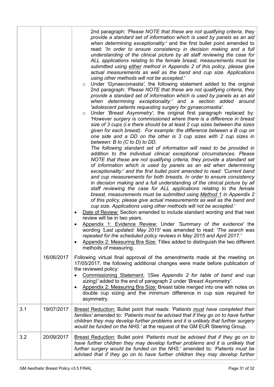|     | 16/06/2017 | 2nd paragraph: 'Please NOTE that these are not qualifying criteria, they<br>provide a standard set of information which is used by panels as an aid<br>when determining exceptionality:' and the first bullet point amended to<br>read: 'In order to ensure consistency in decision making and a full<br>understanding of the clinical picture by all staff reviewing the case for<br>ALL applications relating to the female breast, measurements must be<br>submitted using either method in Appendix 2 of this policy, please give<br>actual measurements as well as the band and cup size. Applications<br>using other methods will not be accepted.'<br>Under 'Gynaecomastia', the following statement added to the original<br>$\circ$<br>2nd paragraph: 'Please NOTE that these are not qualifying criteria, they<br>provide a standard set of information which is used by panels as an aid<br>when determining exceptionality:' and a section added around<br>'adolescent patients requesting surgery for gynaecomastia'.<br>Under 'Breast Asymmetry', the original first paragraph replaced by:<br>$\circ$<br>'However surgery is commissioned where there is a difference in breast<br>size of 3 cups (i.e there should be at least 2 cup sizes between the sizes<br>given for each breast). For example: the difference between a B cup on<br>one side and a DD on the other is 3 cup sizes with 2 cup sizes in<br>between: B to (C to D) to DD.<br>The following standard set of information will need to be provided in<br>addition to the individual clinical exceptional circumstances. Please<br>NOTE that these are not qualifying criteria, they provide a standard set<br>of information which is used by panels as an aid when determining<br>exceptionality:' and the first bullet point amended to read: 'Current band<br>and cup measurements for both breasts. In order to ensure consistency<br>in decision making and a full understanding of the clinical picture by all<br>staff reviewing the case for ALL applications relating to the female<br>breast, measurements must be submitted using Method 1 in Appendix 2<br>of this policy, please give actual measurements as well as the band and<br>cup size. Applications using other methods will not be accepted.'<br>Date of Review: Section amended to include standard wording and that next<br>٠<br>review will be in two years.<br>Appendix 1: Evidence Review: Under 'Summary of the evidence' the<br>wording 'Last updated: May 2015' was amended to read: 'The search was<br>repeated for the scheduled policy reviews in May 2015 and April 2017.'<br>Appendix 2: Measuring Bra Size: Titles added to distinguish the two different<br>$\bullet$<br>methods of measuring.<br>Following virtual final approval of the amendments made at the meeting on<br>17/05/2017, the following additional changes were made before publication of<br>the reviewed policy:<br>Commissioning Statement: '(See Appendix 2 for table of band and cup<br>sizing)' added to the end of paragraph 2 under 'Breast Asymmetry'.<br>Appendix 2: Measuring Bra Size: Breast table merged into one with notes on<br>double cup sizing and the minimum difference in cup size required for<br>asymmetry. |
|-----|------------|----------------------------------------------------------------------------------------------------------------------------------------------------------------------------------------------------------------------------------------------------------------------------------------------------------------------------------------------------------------------------------------------------------------------------------------------------------------------------------------------------------------------------------------------------------------------------------------------------------------------------------------------------------------------------------------------------------------------------------------------------------------------------------------------------------------------------------------------------------------------------------------------------------------------------------------------------------------------------------------------------------------------------------------------------------------------------------------------------------------------------------------------------------------------------------------------------------------------------------------------------------------------------------------------------------------------------------------------------------------------------------------------------------------------------------------------------------------------------------------------------------------------------------------------------------------------------------------------------------------------------------------------------------------------------------------------------------------------------------------------------------------------------------------------------------------------------------------------------------------------------------------------------------------------------------------------------------------------------------------------------------------------------------------------------------------------------------------------------------------------------------------------------------------------------------------------------------------------------------------------------------------------------------------------------------------------------------------------------------------------------------------------------------------------------------------------------------------------------------------------------------------------------------------------------------------------------------------------------------------------------------------------------------------------------------------------------------------------------------------------------------------------------------------------------------------------------------------------------------------------------------------------------------------------------------------------------------------------------------------------------------------------------------------------------------------------------------------------------------------------------------------------------------------------------------------------------------------------------------------------------------------------------|
| 3.1 | 19/07/2017 | Breast Reduction: Bullet point that reads: 'Patients must have completed their<br>families' amended to: 'Patients must be advised that if they go on to have further<br>children they may develop further problems and it is unlikely that further surgery<br>would be funded on the NHS.' at the request of the GM EUR Steering Group.                                                                                                                                                                                                                                                                                                                                                                                                                                                                                                                                                                                                                                                                                                                                                                                                                                                                                                                                                                                                                                                                                                                                                                                                                                                                                                                                                                                                                                                                                                                                                                                                                                                                                                                                                                                                                                                                                                                                                                                                                                                                                                                                                                                                                                                                                                                                                                                                                                                                                                                                                                                                                                                                                                                                                                                                                                                                                                                                    |
| 3.2 | 20/09/2017 | <b>Breast Reduction:</b> Bullet point 'Patients must be advised that if they go on to<br>have further children they may develop further problems and it is unlikely that<br>further surgery would be funded on the NHS.' amended to: 'Patients must be<br>advised that if they go on to have further children they may develop further                                                                                                                                                                                                                                                                                                                                                                                                                                                                                                                                                                                                                                                                                                                                                                                                                                                                                                                                                                                                                                                                                                                                                                                                                                                                                                                                                                                                                                                                                                                                                                                                                                                                                                                                                                                                                                                                                                                                                                                                                                                                                                                                                                                                                                                                                                                                                                                                                                                                                                                                                                                                                                                                                                                                                                                                                                                                                                                                     |